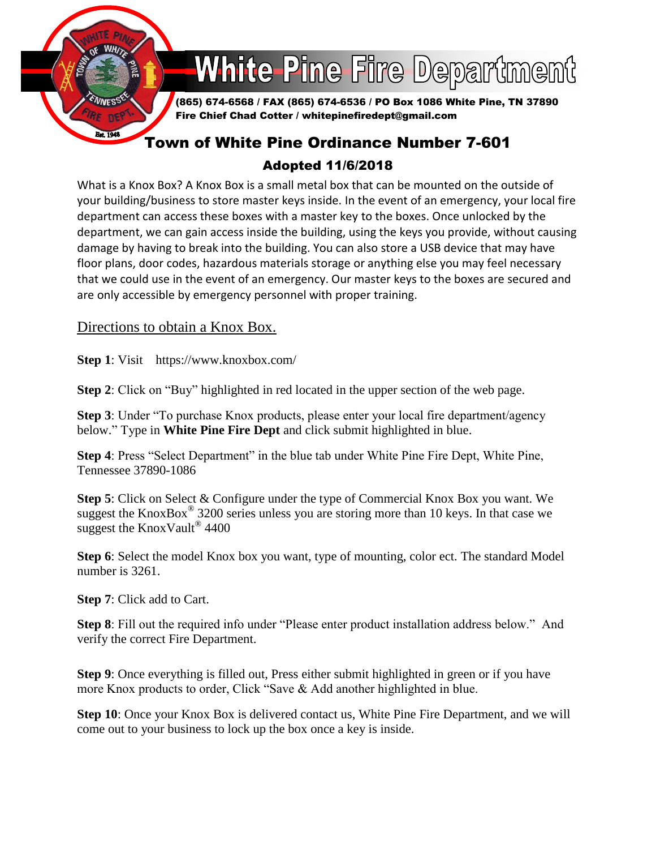

# **White Pine Fire Department**

(865) 674-6568 / FAX (865) 674-6536 / PO Box 1086 White Pine, TN 37890 Fire Chief Chad Cotter / whitepinefiredept@gmail.com

# Town of White Pine Ordinance Number 7-601 Adopted 11/6/2018

What is a Knox Box? A Knox Box is a small metal box that can be mounted on the outside of your building/business to store master keys inside. In the event of an emergency, your local fire department can access these boxes with a master key to the boxes. Once unlocked by the department, we can gain access inside the building, using the keys you provide, without causing damage by having to break into the building. You can also store a USB device that may have floor plans, door codes, hazardous materials storage or anything else you may feel necessary that we could use in the event of an emergency. Our master keys to the boxes are secured and are only accessible by emergency personnel with proper training.

Directions to obtain a Knox Box.

**Step 1**: Visit <https://www.knoxbox.com/>

**Step 2**: Click on "Buy" highlighted in red located in the upper section of the web page.

**Step 3**: Under "To purchase Knox products, please enter your local fire department/agency below." Type in **White Pine Fire Dept** and click submit highlighted in blue.

**Step 4**: Press "Select Department" in the blue tab under White Pine Fire Dept, White Pine, Tennessee 37890-1086

**Step 5**: Click on Select & Configure under the type of Commercial Knox Box you want. We suggest the KnoxBox<sup>®</sup> 3200 series unless you are storing more than 10 keys. In that case we suggest the KnoxVault<sup>®</sup> 4400

**Step 6**: Select the model Knox box you want, type of mounting, color ect. The standard Model number is 3261.

**Step 7**: Click add to Cart.

**Step 8**: Fill out the required info under "Please enter product installation address below." And verify the correct Fire Department.

**Step 9**: Once everything is filled out, Press either submit highlighted in green or if you have more Knox products to order, Click "Save & Add another highlighted in blue.

**Step 10**: Once your Knox Box is delivered contact us, White Pine Fire Department, and we will come out to your business to lock up the box once a key is inside.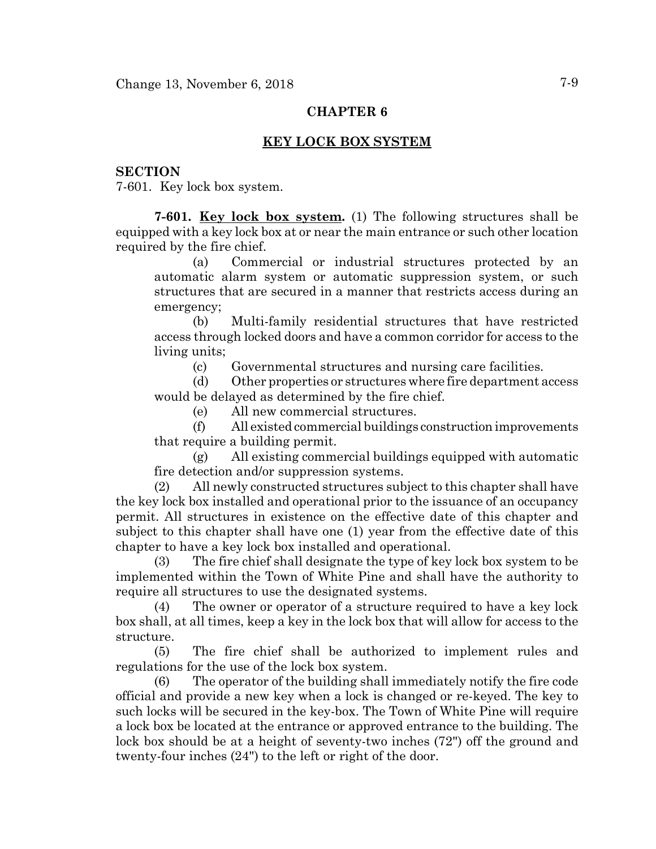## CHAPTER 6

# KEY LOCK BOX SYSTEM

### **SECTION**

Change 13, November 6, 2018<br> **CHAPTER 6**<br> **KEY LOCK BOX SYSTEM**<br> **SECTION**<br>
7-601. Key lock box system.<br>
7-601. Key lock box system. (1) The following structure<br>
equipped with a key lock box at or near the main entrance or <sup>7-9</sup><br> **CHAPTER 6**<br> **CHAPTER 6**<br> **KEY LOCK BOX SYSTEM**<br> **ION**<br> **Rey lock box system.**<br> **7-601. <u>Key lock box system</u>.** (1) The following structures shall be<br>
ed with a key lock box at or near the main entrance or such othe equipped with a key lock box at or near the main entrance or such other location required by the fire chief.

(a) CHAPTER 6<br>
(a) CHAPTER 6<br>
(a) CHAPTER 6<br>
(a) CHAPTER 6<br>
(a) CHAPTER 6<br>
(a) lock box system. (1) The following structures shall be<br>
ha key lock box at or near the main entrance or such other location<br>
(a) Commercial or automatic alarm system or automatic suppression system, or such structures that are secured in a manner that restricts access during an emergency; (b) Multi-family residential structures that have restricted the properties of the properties of the restricted of the structure of the structure structures for the have victors of the fire chief.<br>(a) Commercial or indust (c) Governmental structures and nursing care facilities.<br>
(e) All reviewed and reviewed and reviewed and reviewed and reviewed and reviewed and the hakey lock box at or near the main entrance or such other location (a) Co CHAPTER 6<br>
KEY LOCK BOX SYSTEM<br>
ock box system.<br>  $\frac{Key \text{ lock box system.}}{Key \text{ lock box at or near the main entrance or such other location}}$ <br>
ha key lock box at or near the main entrance or such other location<br>
he fire chief.<br>
(a) Commercial or industrial structures protected by **KEY LOCK BOX SYSTEM**<br>
Sock box system.<br>  $\frac{1}{2}$   $\frac{1}{2}$   $\frac{1}{2}$   $\frac{1}{2}$   $\frac{1}{2}$   $\frac{1}{2}$   $\frac{1}{2}$   $\frac{1}{2}$   $\frac{1}{2}$   $\frac{1}{2}$   $\frac{1}{2}$   $\frac{1}{2}$   $\frac{1}{2}$   $\frac{1}{2}$   $\frac{1}{2}$   $\frac{1}{2}$   $\frac{1}{2}$   $\frac{1}{2}$  **EXIT LOCK DOG STSTEM**<br>
(Several of a Review of the following structures shall be have lock box at or near the main entrance or such other location<br>
he fire chief.<br>
(a) Commercial or industrial structures protected by an a ock box system.<br> **Key lock box system.** (1) The following structures shall be<br>
h a key lock box at or near the main entrance or such other location<br>
the fire chief.<br>
commercial or industrial structures protected by an<br>
ati

access through locked doors and have a common corridor for access to the living units;

would be delayed as determined by the fire chief.

that require a building permit.

fire detection and/or suppression systems.

7-601. **Key lock box system**. (1) The following structures shall be od with a key lock box at or near the main entrance or such other location of by the free chicf.<br>
(a) Commercial or industrial structures protected by an the key lock box installed and operational prior to the issuance of an occupancy permit. All structures in existence on the effective date of this chapter and subject to this chapter shall have one (1) year from the effective date of this chapter to have a key lock box installed and operational. ationated and system of accounance suppression system, or solution<br>structures that are secured in a manner that restricts access during an<br>emergency;<br>(b) Multi-family residential structures that have restricted<br>access thro (b) war-lampy restored and structures in also restorted to the restorted of the living units;<br>(c) Overnmental structures and nursing care facilities.<br>(d) Other properties or structures where fire department access would be (3) Other member shall designate the type of the nearlies and  $(3)$  Other properties or structures where fire department access would be delayed as determined structures where fire department access would be delayed as de

implemented within the Town of White Pine and shall have the authority to require all structures to use the designated systems.

box shall, at all times, keep a key in the lock box that will allow for access to the structure.

regulations for the use of the lock box system.

would velow the exergence of the met the during permit.<br>
(6) All new commercial structures.<br>
(f) All existed commercial structures.<br>
that require a building permit.<br>
that the operator of the during permit of fire detectio official and provide a new key when a lock is changed or re-keyed. The key to such locks will be secured in the key-box. The Town of White Pine will require a lock box be located at the entrance or approved entrance to the building. The lock box should be at a height of seventy-two inches (72") off the ground and twenty-four inches (24") to the left or right of the door.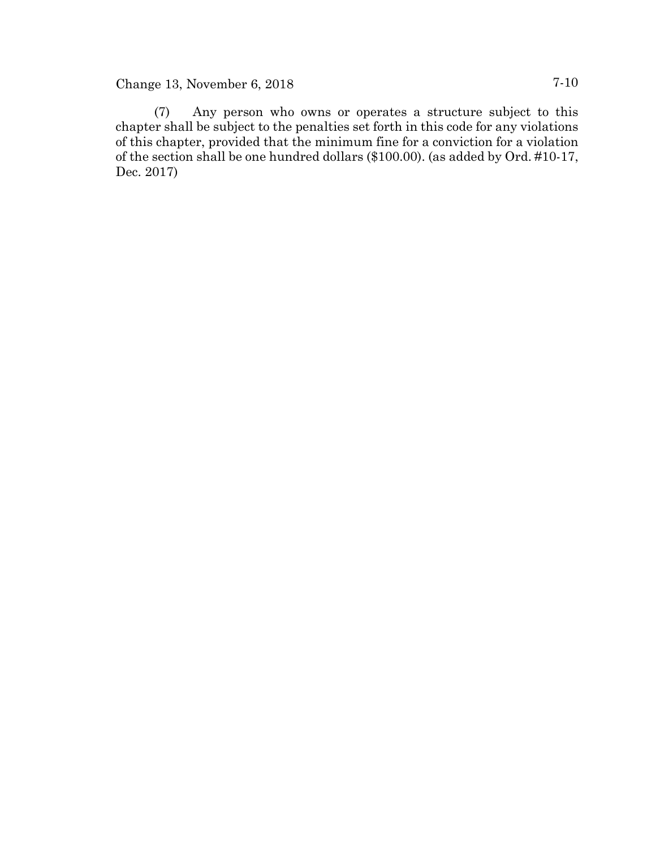Change 13, November 6, 2018 7-10

7-10<br>
(7) Any person who owns or operates a structure subject to this<br>
r shall be subject to the penalties set forth in this code for any violations<br>
chapter, provided that the minimum fine for a conviction for a violation chapter shall be subject to the penalties set forth in this code for any violations of this chapter, provided that the minimum fine for a conviction for a violation of the section shall be one hundred dollars (\$100.00). (as added by Ord. #10-17, Dec. 2017)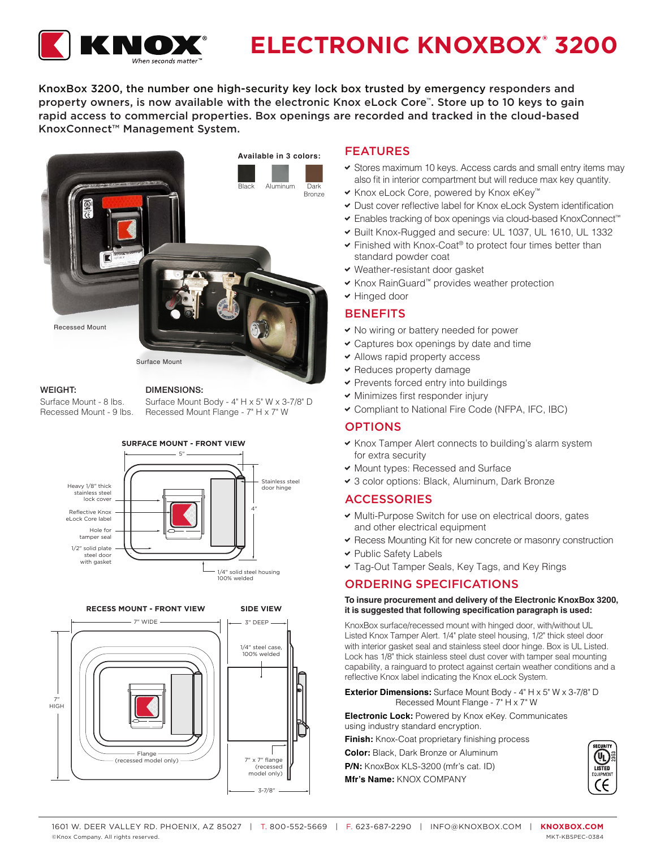

# **ELECTRONIC KNOXBOX® 3200**

KnoxBox 3200, the number one high-security key lock box trusted by emergency responders and property owners, is now available with the electronic Knox eLock Core™. Store up to 10 keys to gain rapid access to commercial properties. Box openings are recorded and tracked in the cloud-based KnoxConnect™ Management System.



#### WEIGHT:

Surface Mount - 8 lbs. Recessed Mount - 9 lbs.

#### DIMENSIONS:

Surface Mount Body - 4" H x 5" W x 3-7/8" D Recessed Mount Flange - 7" H x 7" W



#### **RECESS MOUNT - FRONT VIEW**



- Stores maximum 10 keys. Access cards and small entry items may also fit in interior compartment but will reduce max key quantity.
- Knox eLock Core, powered by Knox eKey™
- Dust cover reflective label for Knox eLock System identification
- Enables tracking of box openings via cloud-based KnoxConnect™
- Built Knox-Rugged and secure: UL 1037, UL 1610, UL 1332
- Finished with Knox-Coat® to protect four times better than standard powder coat
- Weather-resistant door gasket
- Knox RainGuard™ provides weather protection

#### • Hinged door **BENEFITS**

- 
- No wiring or battery needed for power
- Captures box openings by date and time • Allows rapid property access
- Reduces property damage
- 
- Prevents forced entry into buildings
- Minimizes first responder injury
- Compliant to National Fire Code (NFPA, IFC, IBC)

#### **OPTIONS**

- Knox Tamper Alert connects to building's alarm system for extra security
- Mount types: Recessed and Surface
- 3 color options: Black, Aluminum, Dark Bronze

## ACCESSORIES

- Multi-Purpose Switch for use on electrical doors, gates and other electrical equipment
- Recess Mounting Kit for new concrete or masonry construction
- Public Safety Labels
- Tag-Out Tamper Seals, Key Tags, and Key Rings

## ORDERING SPECIFICATIONS

#### **To insure procurement and delivery of the Electronic KnoxBox 3200, it is suggested that following specification paragraph is used:**

KnoxBox surface/recessed mount with hinged door, with/without UL Listed Knox Tamper Alert. 1/4" plate steel housing, 1/2" thick steel door with interior gasket seal and stainless steel door hinge. Box is UL Listed. Lock has 1/8" thick stainless steel dust cover with tamper seal mounting capability, a rainguard to protect against certain weather conditions and a reflective Knox label indicating the Knox eLock System.

**Exterior Dimensions:** Surface Mount Body - 4" H x 5" W x 3-7/8" D Recessed Mount Flange - 7" H x 7" W

**Electronic Lock:** Powered by Knox eKey. Communicates using industry standard encryption.

**Finish:** Knox-Coat proprietary finishing process **Color:** Black, Dark Bronze or Aluminum **P/N:** KnoxBox KLS-3200 (mfr's cat. ID) **Mfr's Name:** KNOX COMPANY